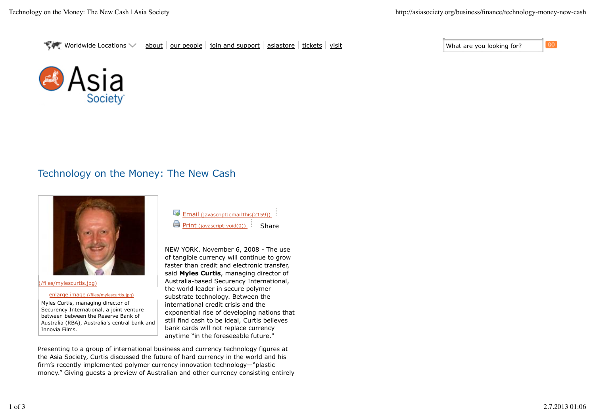

## Technology on the Money: The New Cash



(/files/mylescurtis.jpg)

enlarge image (/files/mylescurtis.jpg)

Myles Curtis, managing director of Securency International, a joint venture between between the Reserve Bank of Australia (RBA), Australia's central bank and Innovia Films.

| Email (javascript: emailThis(2159)) |       |
|-------------------------------------|-------|
| Print (javascript:void(0))          | Share |

NEW YORK, November 6, 2008 - The use of tangible currency will continue to grow faster than credit and electronic transfer, said **Myles Curtis**, managing director of Australia-based Securency International, the world leader in secure polymer substrate technology. Between the international credit crisis and the exponential rise of developing nations that still find cash to be ideal, Curtis believes bank cards will not replace currency anytime "in the foreseeable future."

Presenting to a group of international business and currency technology figures at the Asia Society, Curtis discussed the future of hard currency in the world and his firm's recently implemented polymer currency innovation technology—"plastic money." Giving guests a preview of Australian and other currency consisting entirely